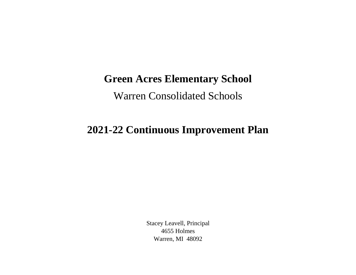## **Green Acres Elementary School**

Warren Consolidated Schools

## **2021-22 Continuous Improvement Plan**

Stacey Leavell, Principal 4655 Holmes Warren, MI 48092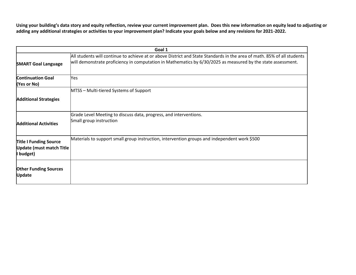**Using your building's data story and equity reflection, review your current improvement plan. Does this new information on equity lead to adjusting or adding any additional strategies or activities to your improvement plan? Indicate your goals below and any revisions for 2021-2022.**

| Goal 1                                                                        |                                                                                                                                                                                                                                         |  |
|-------------------------------------------------------------------------------|-----------------------------------------------------------------------------------------------------------------------------------------------------------------------------------------------------------------------------------------|--|
| <b>SMART Goal Language</b>                                                    | All students will continue to achieve at or above District and State Standards in the area of math. 85% of all students<br>will demonstrate proficiency in computation in Mathematics by 6/30/2025 as measured by the state assessment. |  |
| <b>Continuation Goal</b><br>(Yes or No)                                       | Yes                                                                                                                                                                                                                                     |  |
|                                                                               | MTSS - Multi-tiered Systems of Support                                                                                                                                                                                                  |  |
| <b>Additional Strategies</b>                                                  |                                                                                                                                                                                                                                         |  |
| <b>Additional Activities</b>                                                  | Grade Level Meeting to discuss data, progress, and interventions.<br>Small group instruction                                                                                                                                            |  |
| <b>Title I Funding Source</b><br><b>Update (must match Title</b><br>I budget) | Materials to support small group instruction, intervention groups and independent work \$500                                                                                                                                            |  |
| <b>Other Funding Sources</b><br><b>Update</b>                                 |                                                                                                                                                                                                                                         |  |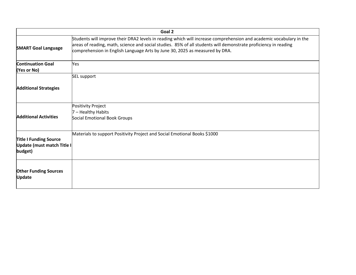|                                                                        | Goal 2                                                                                                                                                                                                                                                                                                                |
|------------------------------------------------------------------------|-----------------------------------------------------------------------------------------------------------------------------------------------------------------------------------------------------------------------------------------------------------------------------------------------------------------------|
| <b>SMART Goal Language</b>                                             | Students will improve their DRA2 levels in reading which will increase comprehension and academic vocabulary in the<br>areas of reading, math, science and social studies. 85% of all students will demonstrate proficiency in reading<br>comprehension in English Language Arts by June 30, 2025 as measured by DRA. |
| <b>Continuation Goal</b><br>(Yes or No)                                | Yes                                                                                                                                                                                                                                                                                                                   |
|                                                                        | SEL support                                                                                                                                                                                                                                                                                                           |
| <b>Additional Strategies</b>                                           |                                                                                                                                                                                                                                                                                                                       |
| <b>Additional Activities</b>                                           | Positivity Project<br>7 - Healthy Habits<br>Social Emotional Book Groups                                                                                                                                                                                                                                              |
| <b>Title I Funding Source</b><br>Update (must match Title I<br>budget) | Materials to support Positivity Project and Social Emotional Books \$1000                                                                                                                                                                                                                                             |
| <b>Other Funding Sources</b><br><b>Update</b>                          |                                                                                                                                                                                                                                                                                                                       |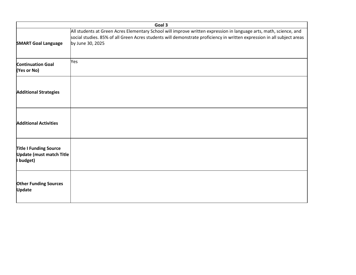|                                                                               | Goal 3                                                                                                                                                                                                                                                            |
|-------------------------------------------------------------------------------|-------------------------------------------------------------------------------------------------------------------------------------------------------------------------------------------------------------------------------------------------------------------|
| <b>SMART Goal Language</b>                                                    | All students at Green Acres Elementary School will improve written expression in language arts, math, science, and<br>social studies. 85% of all Green Acres students will demonstrate proficiency in written expression in all subject areas<br>by June 30, 2025 |
| <b>Continuation Goal</b><br>(Yes or No)                                       | Yes                                                                                                                                                                                                                                                               |
| <b>Additional Strategies</b>                                                  |                                                                                                                                                                                                                                                                   |
| <b>Additional Activities</b>                                                  |                                                                                                                                                                                                                                                                   |
| <b>Title I Funding Source</b><br><b>Update (must match Title</b><br>I budget) |                                                                                                                                                                                                                                                                   |
| <b>Other Funding Sources</b><br><b>Update</b>                                 |                                                                                                                                                                                                                                                                   |